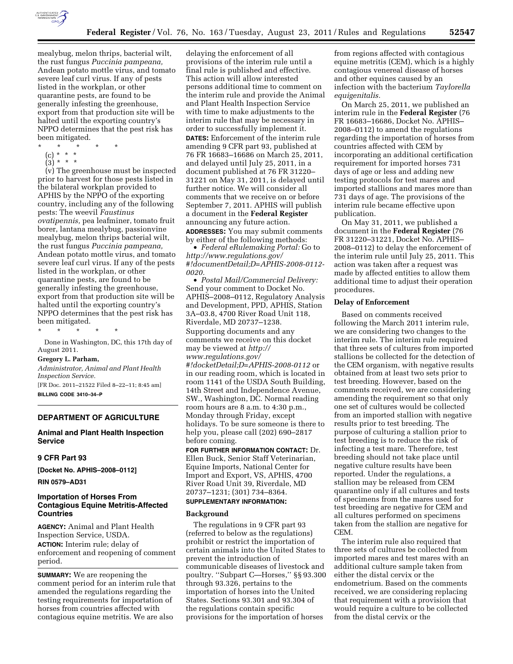

mealybug, melon thrips, bacterial wilt, the rust fungus *Puccinia pampeana,*  Andean potato mottle virus, and tomato severe leaf curl virus. If any of pests listed in the workplan, or other quarantine pests, are found to be generally infesting the greenhouse, export from that production site will be halted until the exporting country's NPPO determines that the pest risk has been mitigated.

- \* \* \* \* \*
	- (c) \* \* \*
	- $(3) * * * *$

(v) The greenhouse must be inspected prior to harvest for those pests listed in the bilateral workplan provided to APHIS by the NPPO of the exporting country, including any of the following pests: The weevil *Faustinus ovatipennis,* pea leafminer, tomato fruit borer, lantana mealybug, passionvine mealybug, melon thrips bacterial wilt, the rust fungus *Puccinia pampeana,*  Andean potato mottle virus, and tomato severe leaf curl virus. If any of the pests listed in the workplan, or other quarantine pests, are found to be generally infesting the greenhouse, export from that production site will be halted until the exporting country's NPPO determines that the pest risk has been mitigated.

\* \* \* \* \*

Done in Washington, DC, this 17th day of August 2011.

### **Gregory L. Parham,**

*Administrator, Animal and Plant Health Inspection Service.* 

[FR Doc. 2011–21522 Filed 8–22–11; 8:45 am] **BILLING CODE 3410–34–P** 

### **DEPARTMENT OF AGRICULTURE**

# **Animal and Plant Health Inspection Service**

#### **9 CFR Part 93**

**[Docket No. APHIS–2008–0112]** 

### **RIN 0579–AD31**

## **Importation of Horses From Contagious Equine Metritis-Affected Countries**

**AGENCY:** Animal and Plant Health Inspection Service, USDA. **ACTION:** Interim rule; delay of enforcement and reopening of comment period.

**SUMMARY:** We are reopening the comment period for an interim rule that amended the regulations regarding the testing requirements for importation of horses from countries affected with contagious equine metritis. We are also

delaying the enforcement of all provisions of the interim rule until a final rule is published and effective. This action will allow interested persons additional time to comment on the interim rule and provide the Animal and Plant Health Inspection Service with time to make adjustments to the interim rule that may be necessary in order to successfully implement it. **DATES:** Enforcement of the interim rule amending 9 CFR part 93, published at 76 FR 16683–16686 on March 25, 2011, and delayed until July 25, 2011, in a document published at 76 FR 31220– 31221 on May 31, 2011, is delayed until further notice. We will consider all comments that we receive on or before September 7, 2011. APHIS will publish a document in the **Federal Register**  announcing any future action. **ADDRESSES:** You may submit comments by either of the following methods:

• *Federal eRulemaking Portal:* Go to *[http://www.regulations.gov/](http://www.regulations.gov/#!documentDetail;D=APHIS-2008-0112-0020)  [#!documentDetail;D=APHIS-2008-0112-](http://www.regulations.gov/#!documentDetail;D=APHIS-2008-0112-0020) [0020.](http://www.regulations.gov/#!documentDetail;D=APHIS-2008-0112-0020)* 

• *Postal Mail/Commercial Delivery:*  Send your comment to Docket No. APHIS–2008–0112, Regulatory Analysis and Development, PPD, APHIS, Station 3A–03.8, 4700 River Road Unit 118, Riverdale, MD 20737–1238. Supporting documents and any comments we receive on this docket may be viewed at *[http://](http://www.regulations.gov/#!docketDetail;D=APHIS-2008-0112)  [www.regulations.gov/](http://www.regulations.gov/#!docketDetail;D=APHIS-2008-0112) [#!docketDetail;D=APHIS-2008-0112](http://www.regulations.gov/#!docketDetail;D=APHIS-2008-0112)* or in our reading room, which is located in room 1141 of the USDA South Building, 14th Street and Independence Avenue, SW., Washington, DC. Normal reading room hours are 8 a.m. to 4:30 p.m., Monday through Friday, except holidays. To be sure someone is there to help you, please call (202) 690–2817 before coming.

**FOR FURTHER INFORMATION CONTACT:** Dr. Ellen Buck, Senior Staff Veterinarian, Equine Imports, National Center for Import and Export, VS, APHIS, 4700 River Road Unit 39, Riverdale, MD 20737–1231; (301) 734–8364.

## **SUPPLEMENTARY INFORMATION:**

#### **Background**

The regulations in 9 CFR part 93 (referred to below as the regulations) prohibit or restrict the importation of certain animals into the United States to prevent the introduction of communicable diseases of livestock and poultry. ''Subpart C—Horses,'' §§ 93.300 through 93.326, pertains to the importation of horses into the United States. Sections 93.301 and 93.304 of the regulations contain specific provisions for the importation of horses

from regions affected with contagious equine metritis (CEM), which is a highly contagious venereal disease of horses and other equines caused by an infection with the bacterium *Taylorella equigenitalis.* 

On March 25, 2011, we published an interim rule in the **Federal Register** (76 FR 16683–16686, Docket No. APHIS– 2008–0112) to amend the regulations regarding the importation of horses from countries affected with CEM by incorporating an additional certification requirement for imported horses 731 days of age or less and adding new testing protocols for test mares and imported stallions and mares more than 731 days of age. The provisions of the interim rule became effective upon publication.

On May 31, 2011, we published a document in the **Federal Register** (76 FR 31220–31221, Docket No. APHIS– 2008–0112) to delay the enforcement of the interim rule until July 25, 2011. This action was taken after a request was made by affected entities to allow them additional time to adjust their operation procedures.

## **Delay of Enforcement**

Based on comments received following the March 2011 interim rule, we are considering two changes to the interim rule. The interim rule required that three sets of cultures from imported stallions be collected for the detection of the CEM organism, with negative results obtained from at least two sets prior to test breeding. However, based on the comments received, we are considering amending the requirement so that only one set of cultures would be collected from an imported stallion with negative results prior to test breeding. The purpose of culturing a stallion prior to test breeding is to reduce the risk of infecting a test mare. Therefore, test breeding should not take place until negative culture results have been reported. Under the regulations, a stallion may be released from CEM quarantine only if all cultures and tests of specimens from the mares used for test breeding are negative for CEM and all cultures performed on specimens taken from the stallion are negative for CEM.

The interim rule also required that three sets of cultures be collected from imported mares and test mares with an additional culture sample taken from either the distal cervix or the endometrium. Based on the comments received, we are considering replacing that requirement with a provision that would require a culture to be collected from the distal cervix or the